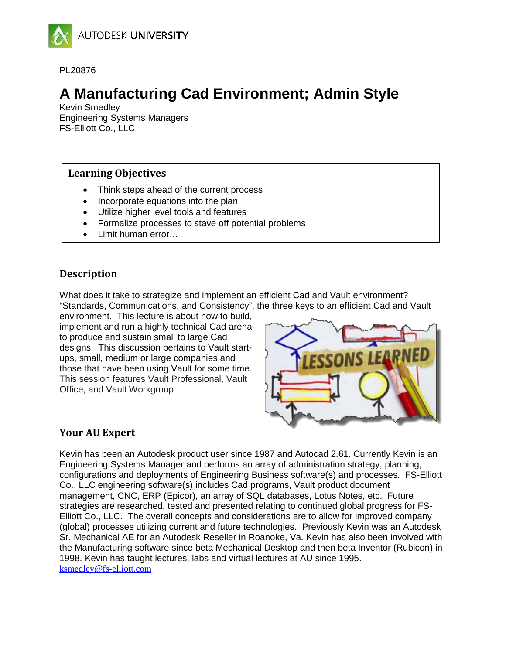

PL20876

# **A Manufacturing Cad Environment; Admin Style**

Kevin Smedley Engineering Systems Managers FS-Elliott Co., LLC

## **Learning Objectives**

- Think steps ahead of the current process
- Incorporate equations into the plan
- Utilize higher level tools and features
- Formalize processes to stave off potential problems
- Limit human error…

# **Description**

What does it take to strategize and implement an efficient Cad and Vault environment? "Standards, Communications, and Consistency", the three keys to an efficient Cad and Vault

environment. This lecture is about how to build, implement and run a highly technical Cad arena to produce and sustain small to large Cad designs. This discussion pertains to Vault startups, small, medium or large companies and those that have been using Vault for some time. This session features Vault Professional, Vault Office, and Vault Workgroup



# **Your AU Expert**

Kevin has been an Autodesk product user since 1987 and Autocad 2.61. Currently Kevin is an Engineering Systems Manager and performs an array of administration strategy, planning, configurations and deployments of Engineering Business software(s) and processes. FS-Elliott Co., LLC engineering software(s) includes Cad programs, Vault product document management, CNC, ERP (Epicor), an array of SQL databases, Lotus Notes, etc. Future strategies are researched, tested and presented relating to continued global progress for FS-Elliott Co., LLC. The overall concepts and considerations are to allow for improved company (global) processes utilizing current and future technologies. Previously Kevin was an Autodesk Sr. Mechanical AE for an Autodesk Reseller in Roanoke, Va. Kevin has also been involved with the Manufacturing software since beta Mechanical Desktop and then beta Inventor (Rubicon) in 1998. Kevin has taught lectures, labs and virtual lectures at AU since 1995. [ksmedley@fs-elliott.com](mailto:ksmedley@fs-elliott.com)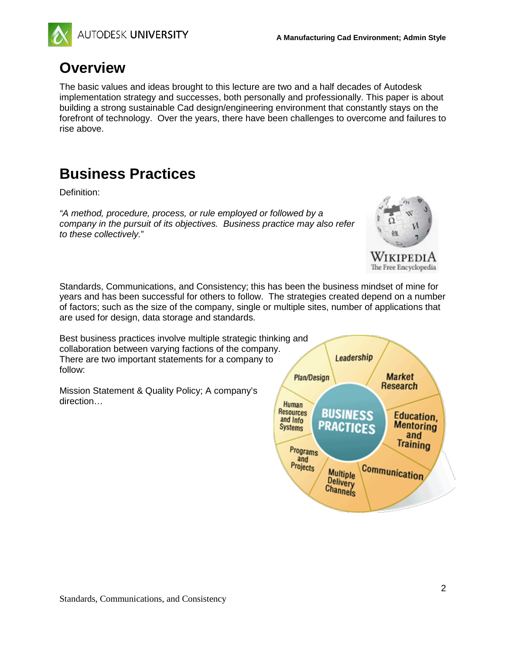

# **Overview**

The basic values and ideas brought to this lecture are two and a half decades of Autodesk implementation strategy and successes, both personally and professionally. This paper is about building a strong sustainable Cad design/engineering environment that constantly stays on the forefront of technology. Over the years, there have been challenges to overcome and failures to rise above.

# **Business Practices**

Definition:

*"A method, procedure, process, or rule employed or followed by a company in the pursuit of its objectives. Business practice may also refer to these collectively.*"



WikipediA The Free Encyclopedia

Standards, Communications, and Consistency; this has been the business mindset of mine for years and has been successful for others to follow. The strategies created depend on a number of factors; such as the size of the company, single or multiple sites, number of applications that are used for design, data storage and standards.

Best business practices involve multiple strategic thinking and collaboration between varying factions of the company. There are two important statements for a company to follow:

Mission Statement & Quality Policy; A company's direction…

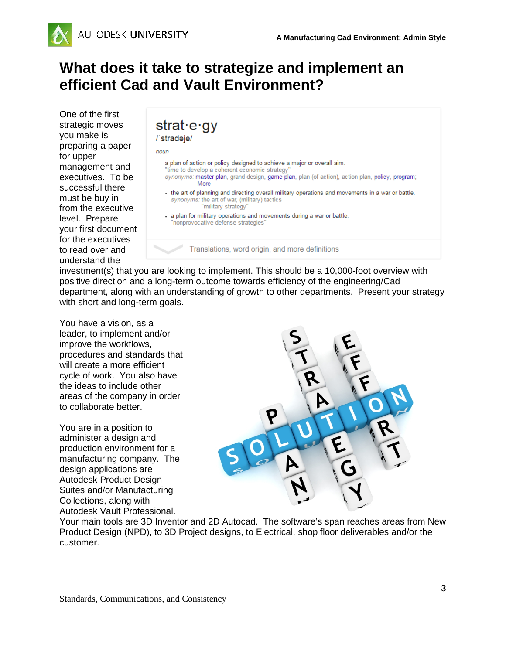

# **What does it take to strategize and implement an efficient Cad and Vault Environment?**

One of the first strategic moves you make is preparing a paper for upper management and executives. To be successful there must be buy in from the executive level. Prepare your first document for the executives to read over and understand the

| $strat \cdot e \cdot gy$<br>/'stradejē/                                                                                                                                                                                                                                                                                                                                                |
|----------------------------------------------------------------------------------------------------------------------------------------------------------------------------------------------------------------------------------------------------------------------------------------------------------------------------------------------------------------------------------------|
| noun                                                                                                                                                                                                                                                                                                                                                                                   |
| a plan of action or policy designed to achieve a major or overall aim.<br>"time to develop a coherent economic strategy"<br>synonyms: master plan, grand design, game plan, plan (of action), action plan, policy, program;<br>More<br>the art of planning and directing overall military operations and movements in a war or battle.<br>synonyms: the art of war, (military) tactics |
| "military strategy"                                                                                                                                                                                                                                                                                                                                                                    |
| - a plan for military operations and movements during a war or battle.<br>"nonprovocative defense strategies"                                                                                                                                                                                                                                                                          |
| Translations, word origin, and more definitions                                                                                                                                                                                                                                                                                                                                        |

investment(s) that you are looking to implement. This should be a 10,000-foot overview with positive direction and a long-term outcome towards efficiency of the engineering/Cad department, along with an understanding of growth to other departments. Present your strategy with short and long-term goals.

You have a vision, as a leader, to implement and/or improve the workflows, procedures and standards that will create a more efficient cycle of work. You also have the ideas to include other areas of the company in order to collaborate better.

You are in a position to administer a design and production environment for a manufacturing company. The design applications are Autodesk Product Design Suites and/or Manufacturing Collections, along with Autodesk Vault Professional.



Your main tools are 3D Inventor and 2D Autocad. The software's span reaches areas from New Product Design (NPD), to 3D Project designs, to Electrical, shop floor deliverables and/or the customer.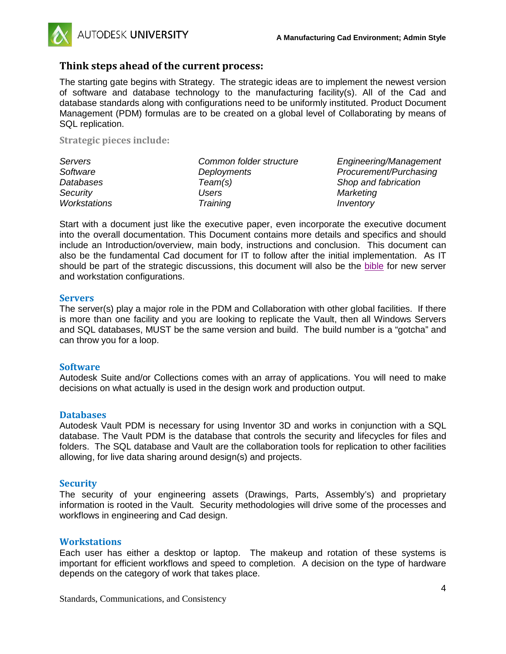

## **Think steps ahead of the current process:**

The starting gate begins with Strategy. The strategic ideas are to implement the newest version of software and database technology to the manufacturing facility(s). All of the Cad and database standards along with configurations need to be uniformly instituted. Product Document Management (PDM) formulas are to be created on a global level of Collaborating by means of SQL replication.

**Strategic pieces include:**

| Servers      | Common folder structure | Engineering/Management |
|--------------|-------------------------|------------------------|
| Software     | <b>Deployments</b>      | Procurement/Purchasing |
| Databases    | Team(s)                 | Shop and fabrication   |
| Security     | Users                   | Marketing              |
| Workstations | Training                | Inventory              |

Start with a document just like the executive paper, even incorporate the executive document into the overall documentation. This Document contains more details and specifics and should include an Introduction/overview, main body, instructions and conclusion. This document can also be the fundamental Cad document for IT to follow after the initial implementation. As IT should be part of the strategic discussions, this document will also be the bible for new server and workstation configurations.

#### **Servers**

The server(s) play a major role in the PDM and Collaboration with other global facilities. If there is more than one facility and you are looking to replicate the Vault, then all Windows Servers and SQL databases, MUST be the same version and build. The build number is a "gotcha" and can throw you for a loop.

### **Software**

Autodesk Suite and/or Collections comes with an array of applications. You will need to make decisions on what actually is used in the design work and production output.

#### **Databases**

Autodesk Vault PDM is necessary for using Inventor 3D and works in conjunction with a SQL database. The Vault PDM is the database that controls the security and lifecycles for files and folders. The SQL database and Vault are the collaboration tools for replication to other facilities allowing, for live data sharing around design(s) and projects.

### **Security**

The security of your engineering assets (Drawings, Parts, Assembly's) and proprietary information is rooted in the Vault. Security methodologies will drive some of the processes and workflows in engineering and Cad design.

#### **Workstations**

Each user has either a desktop or laptop. The makeup and rotation of these systems is important for efficient workflows and speed to completion. A decision on the type of hardware depends on the category of work that takes place.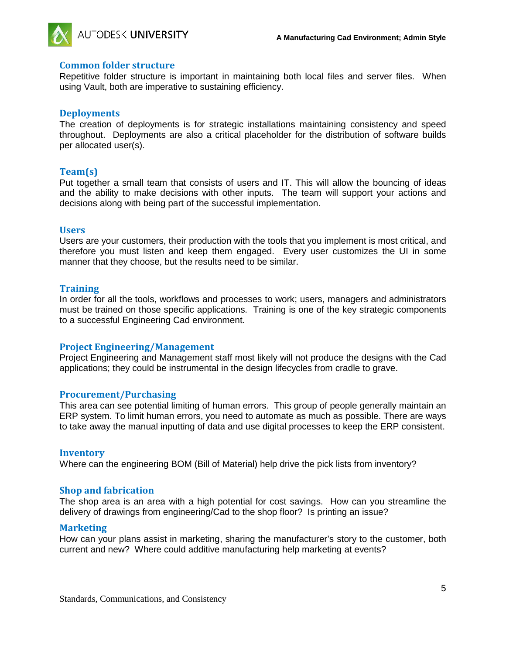

#### **Common folder structure**

Repetitive folder structure is important in maintaining both local files and server files. When using Vault, both are imperative to sustaining efficiency.

#### **Deployments**

The creation of deployments is for strategic installations maintaining consistency and speed throughout. Deployments are also a critical placeholder for the distribution of software builds per allocated user(s).

#### **Team(s)**

Put together a small team that consists of users and IT. This will allow the bouncing of ideas and the ability to make decisions with other inputs. The team will support your actions and decisions along with being part of the successful implementation.

#### **Users**

Users are your customers, their production with the tools that you implement is most critical, and therefore you must listen and keep them engaged. Every user customizes the UI in some manner that they choose, but the results need to be similar.

#### **Training**

In order for all the tools, workflows and processes to work; users, managers and administrators must be trained on those specific applications. Training is one of the key strategic components to a successful Engineering Cad environment.

#### **Project Engineering/Management**

Project Engineering and Management staff most likely will not produce the designs with the Cad applications; they could be instrumental in the design lifecycles from cradle to grave.

#### **Procurement/Purchasing**

This area can see potential limiting of human errors. This group of people generally maintain an ERP system. To limit human errors, you need to automate as much as possible. There are ways to take away the manual inputting of data and use digital processes to keep the ERP consistent.

#### **Inventory**

Where can the engineering BOM (Bill of Material) help drive the pick lists from inventory?

#### **Shop and fabrication**

The shop area is an area with a high potential for cost savings. How can you streamline the delivery of drawings from engineering/Cad to the shop floor? Is printing an issue?

#### **Marketing**

How can your plans assist in marketing, sharing the manufacturer's story to the customer, both current and new? Where could additive manufacturing help marketing at events?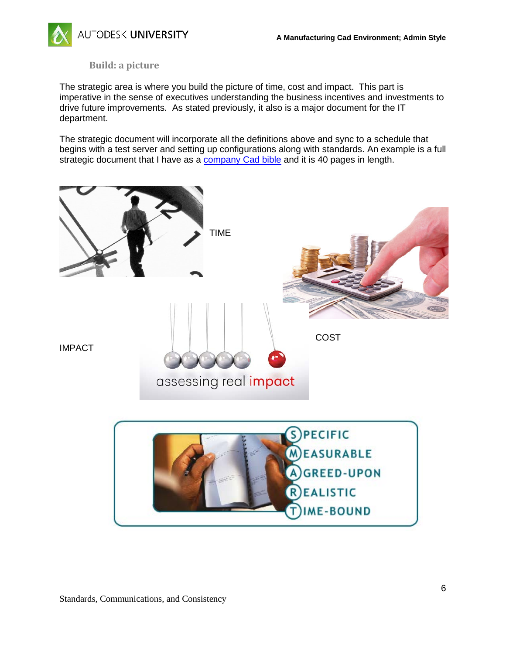

**Build: a picture**

The strategic area is where you build the picture of time, cost and impact. This part is imperative in the sense of executives understanding the business incentives and investments to drive future improvements. As stated previously, it also is a major document for the IT department.

The strategic document will incorporate all the definitions above and sync to a schedule that begins with a test server and setting up configurations along with standards. An example is a full strategic document that I have as a company Cad bible and it is 40 pages in length.



Standards, Communications, and Consistency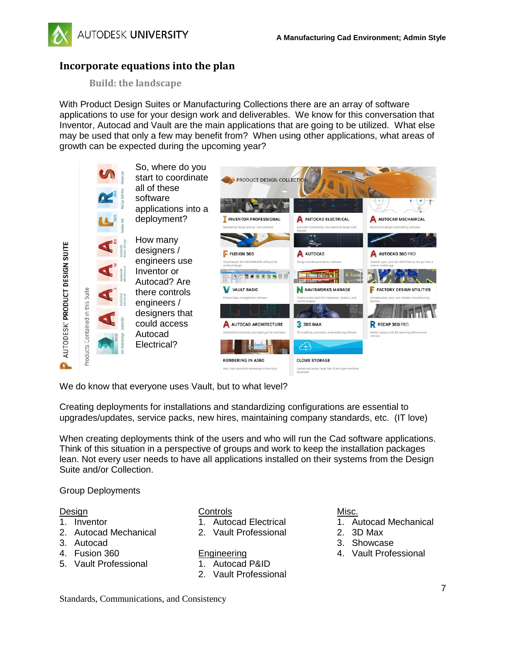

## **Incorporate equations into the plan**

**Build: the landscape**

With Product Design Suites or Manufacturing Collections there are an array of software applications to use for your design work and deliverables. We know for this conversation that Inventor, Autocad and Vault are the main applications that are going to be utilized. What else may be used that only a few may benefit from? When using other applications, what areas of growth can be expected during the upcoming year?



We do know that everyone uses Vault, but to what level?

Creating deployments for installations and standardizing configurations are essential to upgrades/updates, service packs, new hires, maintaining company standards, etc. (IT love)

When creating deployments think of the users and who will run the Cad software applications. Think of this situation in a perspective of groups and work to keep the installation packages lean. Not every user needs to have all applications installed on their systems from the Design Suite and/or Collection.

Group Deployments

#### Design

- 1. Inventor
- 2. Autocad Mechanical
- 3. Autocad
- 4. Fusion 360
- 5. Vault Professional

**Controls** 

- 1. Autocad Electrical
- 2. Vault Professional
- **Engineering**
- 1. Autocad P&ID
- 2. Vault Professional

#### Misc.

- 1. Autocad Mechanical
- 2. 3D Max
- 3. Showcase
- 4. Vault Professional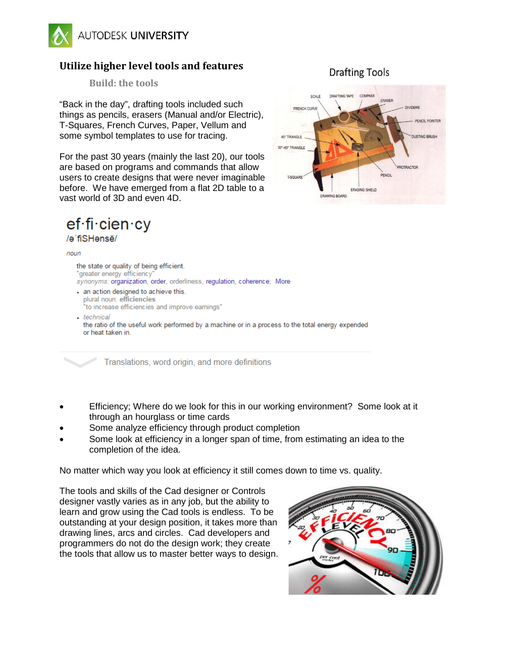

# **Utilize higher level tools and features**

**Build: the tools**

"Back in the day", drafting tools included such things as pencils, erasers (Manual and/or Electric), T-Squares, French Curves, Paper, Vellum and some symbol templates to use for tracing.

For the past 30 years (mainly the last 20), our tools are based on programs and commands that allow users to create designs that were never imaginable before. We have emerged from a flat 2D table to a vast world of 3D and even 4D.

# ef·fi·cien·cy

## /əˈfiSHənsē/

#### noun

the state or quality of being efficient. "greater energy efficiency synonyms: organization, order, orderliness, regulation, coherence; More - an action designed to achieve this. plural noun: efficiencies "to increase efficiencies and improve earnings"

- technical the ratio of the useful work performed by a machine or in a process to the total energy expended or heat taken in.

Translations, word origin, and more definitions

- Efficiency; Where do we look for this in our working environment? Some look at it through an hourglass or time cards
- Some analyze efficiency through product completion
- Some look at efficiency in a longer span of time, from estimating an idea to the completion of the idea.

No matter which way you look at efficiency it still comes down to time vs. quality.

The tools and skills of the Cad designer or Controls designer vastly varies as in any job, but the ability to learn and grow using the Cad tools is endless. To be outstanding at your design position, it takes more than drawing lines, arcs and circles. Cad developers and programmers do not do the design work; they create the tools that allow us to master better ways to design.



## **Drafting Tools**

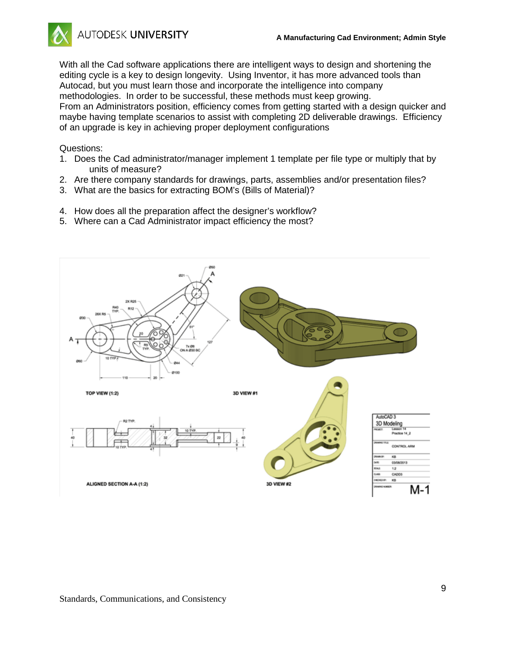

With all the Cad software applications there are intelligent ways to design and shortening the editing cycle is a key to design longevity. Using Inventor, it has more advanced tools than Autocad, but you must learn those and incorporate the intelligence into company methodologies. In order to be successful, these methods must keep growing. From an Administrators position, efficiency comes from getting started with a design quicker and maybe having template scenarios to assist with completing 2D deliverable drawings. Efficiency of an upgrade is key in achieving proper deployment configurations

Questions:

- 1. Does the Cad administrator/manager implement 1 template per file type or multiply that by units of measure?
- 2. Are there company standards for drawings, parts, assemblies and/or presentation files?
- 3. What are the basics for extracting BOM's (Bills of Material)?
- 4. How does all the preparation affect the designer's workflow?
- 5. Where can a Cad Administrator impact efficiency the most?

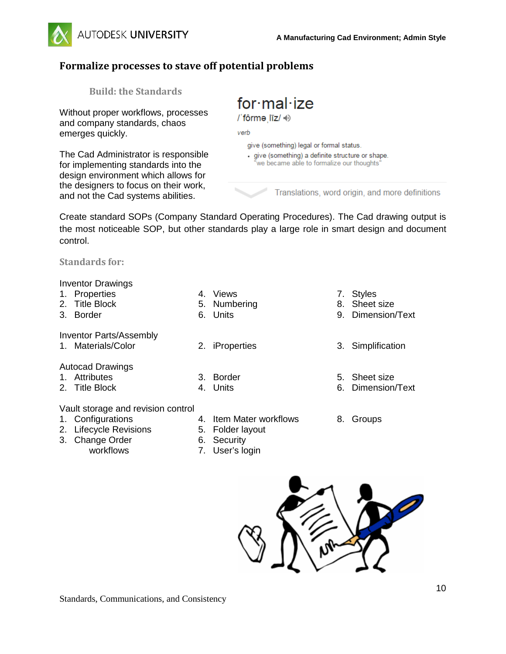

# **Formalize processes to stave off potential problems**

**Build: the Standards**

Without proper workflows, processes and company standards, chaos emerges quickly.

The Cad Administrator is responsible for implementing standards into the design environment which allows for the designers to focus on their work, and not the Cad systems abilities.

# $for$  mal·ize

/ fôrme līz/ +)

verb

give (something) legal or formal status.

· give (something) a definite structure or shape. we became able to formalize our thoughts"

Translations, word origin, and more definitions

Create standard SOPs (Company Standard Operating Procedures). The Cad drawing output is the most noticeable SOP, but other standards play a large role in smart design and document control.

**Standards for:**

Inventor Drawings

- 1. Properties
- 2. Title Block
- 3. Border
- 4. Views
- 5. Numbering
- 6. Units

3. Border 4. Units

- Inventor Parts/Assembly
- 
- Autocad Drawings
- 1. Attributes
- 2. Title Block

### Vault storage and revision control

- 1. Configurations
- 2. Lifecycle Revisions
- 3. Change Order

workflows

5. Folder layout

4. Item Mater workflows

- 6. Security
- 7. User's login
- 7. Styles
- 8. Sheet size
- 9. Dimension/Text
- 1. Materials/Color 2. iProperties 3. Simplification
	- 5. Sheet size
	- 6. Dimension/Text
	- 8. Groups

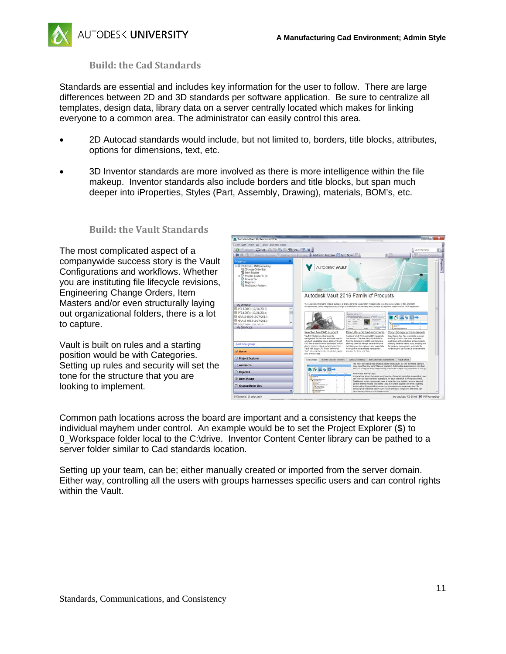

### **Build: the Cad Standards**

Standards are essential and includes key information for the user to follow. There are large differences between 2D and 3D standards per software application. Be sure to centralize all templates, design data, library data on a server centrally located which makes for linking everyone to a common area. The administrator can easily control this area.

- 2D Autocad standards would include, but not limited to, borders, title blocks, attributes, options for dimensions, text, etc.
- 3D Inventor standards are more involved as there is more intelligence within the file makeup. Inventor standards also include borders and title blocks, but span much deeper into iProperties, Styles (Part, Assembly, Drawing), materials, BOM's, etc.

#### **Build: the Vault Standards**

The most complicated aspect of a companywide success story is the Vault Configurations and workflows. Whether you are instituting file lifecycle revisions, Engineering Change Orders, Item Masters and/or even structurally laying out organizational folders, there is a lot to capture.

Vault is built on rules and a starting position would be with Categories. Setting up rules and security will set the tone for the structure that you are looking to implement.



Common path locations across the board are important and a consistency that keeps the individual mayhem under control. An example would be to set the Project Explorer (\$) to 0\_Workspace folder local to the C:\drive. Inventor Content Center library can be pathed to a server folder similar to Cad standards location.

Setting up your team, can be; either manually created or imported from the server domain. Either way, controlling all the users with groups harnesses specific users and can control rights within the Vault.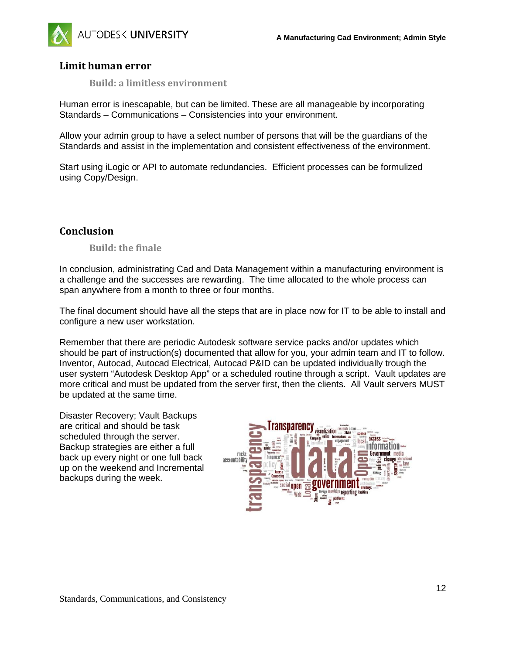

## **Limit human error**

**Build: a limitless environment**

Human error is inescapable, but can be limited. These are all manageable by incorporating Standards – Communications – Consistencies into your environment.

Allow your admin group to have a select number of persons that will be the guardians of the Standards and assist in the implementation and consistent effectiveness of the environment.

Start using iLogic or API to automate redundancies. Efficient processes can be formulized using Copy/Design.

## **Conclusion**

#### **Build: the finale**

In conclusion, administrating Cad and Data Management within a manufacturing environment is a challenge and the successes are rewarding. The time allocated to the whole process can span anywhere from a month to three or four months.

The final document should have all the steps that are in place now for IT to be able to install and configure a new user workstation.

Remember that there are periodic Autodesk software service packs and/or updates which should be part of instruction(s) documented that allow for you, your admin team and IT to follow. Inventor, Autocad, Autocad Electrical, Autocad P&ID can be updated individually trough the user system "Autodesk Desktop App" or a scheduled routine through a script. Vault updates are more critical and must be updated from the server first, then the clients. All Vault servers MUST be updated at the same time.

Disaster Recovery; Vault Backups are critical and should be task scheduled through the server. Backup strategies are either a full back up every night or one full back up on the weekend and Incremental backups during the week.

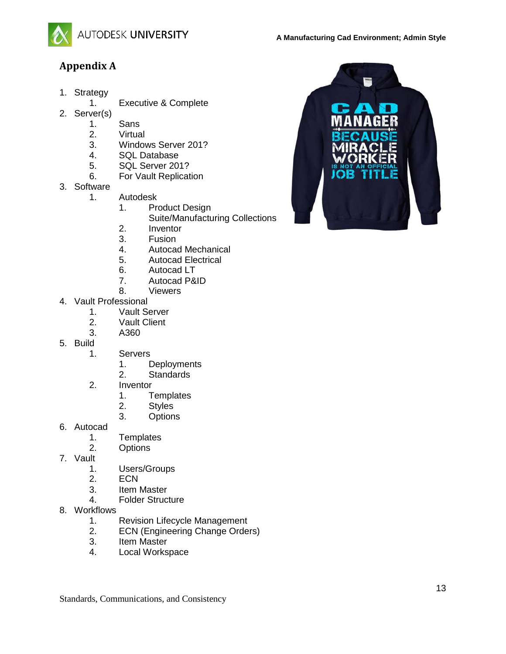

# **Appendix A**

- 1. Strategy
	- 1. Executive & Complete
- 2. Server(s)
	- 1. Sans<br>2. Virtua
	- **Virtual**
	- 3. Windows Server 201?
	- 4. SQL Database
	- 5. SQL Server 201?
	- 6. For Vault Replication
- 3. Software
	- 1. Autodesk
		- 1. Product Design
			- Suite/Manufacturing Collections
		- 2. Inventor
		- 3. Fusion
		- 4. Autocad Mechanical
		- 5. Autocad Electrical
		- 6. Autocad LT
		- 7. Autocad P&ID<br>8. Viewers
			- **Viewers**
- 4. Vault Professional
	- 1. Vault Server<br>2. Vault Client
	- **Vault Client**
	- 3. A360
- 5. Build
	- **Servers** 
		- 1. Deployments
		- 2. Standards
	- 2. Inventor
		- 1. Templates
		- 2. Styles
		- 3. Options
- 6. Autocad
	- 1. Templates
	- 2. Options
- 7. Vault
	- 1. Users/Groups<br>2. ECN
	- ECN.
	-
	- 3. Item Master<br>4. Folder Struc 4. Folder Structure
- 8. Workflows
	- 1. Revision Lifecycle Management<br>2. ECN (Engineering Change Orde
	- ECN (Engineering Change Orders)
	- 3. Item Master
	- 4. Local Workspace